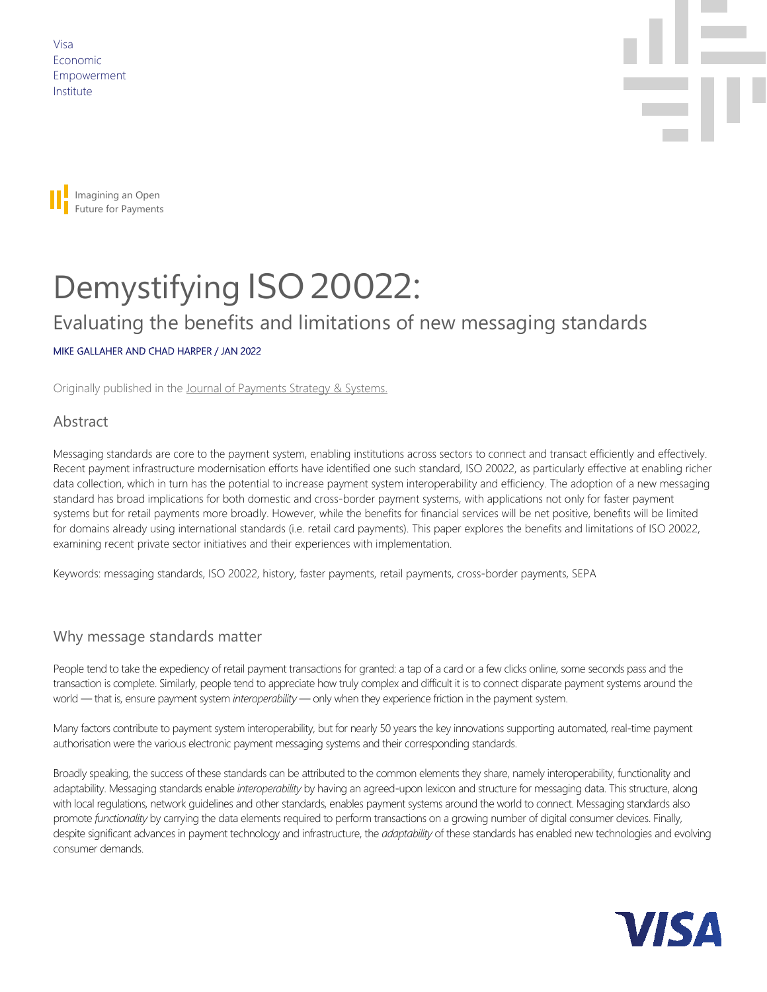Visa Economic Empowerment Institute





# Demystifying ISO 20022:

## Evaluating the benefits and limitations of new messaging standards

#### MIKE GALLAHER AND CHAD HARPER / JAN 2022

Originally published in the Journal [of Payments Strategy & Systems.](https://www.henrystewartpublications.com/jpss)

#### Abstract

Messaging standards are core to the payment system, enabling institutions across sectors to connect and transact efficiently and effectively. Recent payment infrastructure modernisation efforts have identified one such standard, ISO 20022, as particularly effective at enabling richer data collection, which in turn has the potential to increase payment system interoperability and efficiency. The adoption of a new messaging standard has broad implications for both domestic and cross-border payment systems, with applications not only for faster payment systems but for retail payments more broadly. However, while the benefits for financial services will be net positive, benefits will be limited for domains already using international standards (i.e. retail card payments). This paper explores the benefits and limitations of ISO 20022, examining recent private sector initiatives and their experiences with implementation.

Keywords: messaging standards, ISO 20022, history, faster payments, retail payments, cross-border payments, SEPA

#### Why message standards matter

People tend to take the expediency of retail payment transactions for granted: a tap of a card or a few clicks online, some seconds pass and the transaction is complete. Similarly, people tend to appreciate how truly complex and difficult it is to connect disparate payment systems around the world — that is, ensure payment system *interoperability* — only when they experience friction in the payment system.

Many factors contribute to payment system interoperability, but for nearly 50 years the key innovations supporting automated, real-time payment authorisation were the various electronic payment messaging systems and their corresponding standards.

Broadly speaking, the success of these standards can be attributed to the common elements they share, namely interoperability, functionality and adaptability. Messaging standards enable *interoperability* by having an agreed-upon lexicon and structure for messaging data. This structure, along with local regulations, network guidelines and other standards, enables payment systems around the world to connect. Messaging standards also promote *functionality* by carrying the data elements required to perform transactions on a growing number of digital consumer devices. Finally, despite significant advances in payment technology and infrastructure, the *adaptability* of these standards has enabled new technologies and evolving consumer demands.

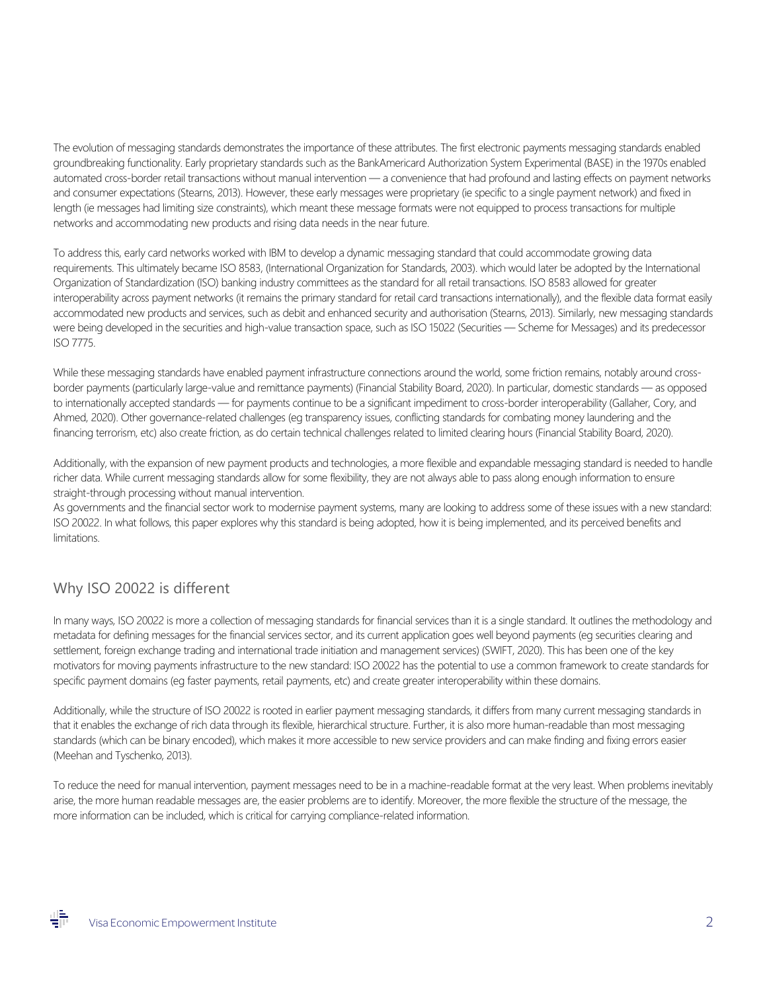The evolution of messaging standards demonstrates the importance of these attributes. The first electronic payments messaging standards enabled groundbreaking functionality. Early proprietary standards such as the BankAmericard Authorization System Experimental (BASE) in the 1970s enabled automated cross-border retail transactions without manual intervention — a convenience that had profound and lasting effects on payment networks and consumer expectations (Stearns, 2013). However, these early messages were proprietary (ie specific to a single payment network) and fixed in length (ie messages had limiting size constraints), which meant these message formats were not equipped to process transactions for multiple networks and accommodating new products and rising data needs in the near future.

To address this, early card networks worked with IBM to develop a dynamic messaging standard that could accommodate growing data requirements. This ultimately became ISO 8583, (International Organization for Standards, 2003). which would later be adopted by the International Organization of Standardization (ISO) banking industry committees as the standard for all retail transactions. ISO 8583 allowed for greater interoperability across payment networks (it remains the primary standard for retail card transactions internationally), and the flexible data format easily accommodated new products and services, such as debit and enhanced security and authorisation (Stearns, 2013). Similarly, new messaging standards were being developed in the securities and high-value transaction space, such as ISO 15022 (Securities — Scheme for Messages) and its predecessor ISO 7775.

While these messaging standards have enabled payment infrastructure connections around the world, some friction remains, notably around crossborder payments (particularly large-value and remittance payments) (Financial Stability Board, 2020). In particular, domestic standards — as opposed to internationally accepted standards — for payments continue to be a significant impediment to cross-border interoperability (Gallaher, Cory, and Ahmed, 2020). Other governance-related challenges (eg transparency issues, conflicting standards for combating money laundering and the financing terrorism, etc) also create friction, as do certain technical challenges related to limited clearing hours (Financial Stability Board, 2020).

Additionally, with the expansion of new payment products and technologies, a more flexible and expandable messaging standard is needed to handle richer data. While current messaging standards allow for some flexibility, they are not always able to pass along enough information to ensure straight-through processing without manual intervention.

As governments and the financial sector work to modernise payment systems, many are looking to address some of these issues with a new standard: ISO 20022. In what follows, this paper explores why this standard is being adopted, how it is being implemented, and its perceived benefits and limitations.

## Why ISO 20022 is different

In many ways, ISO 20022 is more a collection of messaging standards for financial services than it is a single standard. It outlines the methodology and metadata for defining messages for the financial services sector, and its current application goes well beyond payments (eg securities clearing and settlement, foreign exchange trading and international trade initiation and management services) (SWIFT, 2020). This has been one of the key motivators for moving payments infrastructure to the new standard: ISO 20022 has the potential to use a common framework to create standards for specific payment domains (eg faster payments, retail payments, etc) and create greater interoperability within these domains.

Additionally, while the structure of ISO 20022 is rooted in earlier payment messaging standards, it differs from many current messaging standards in that it enables the exchange of rich data through its flexible, hierarchical structure. Further, it is also more human-readable than most messaging standards (which can be binary encoded), which makes it more accessible to new service providers and can make finding and fixing errors easier (Meehan and Tyschenko, 2013).

To reduce the need for manual intervention, payment messages need to be in a machine-readable format at the very least. When problems inevitably arise, the more human readable messages are, the easier problems are to identify. Moreover, the more flexible the structure of the message, the more information can be included, which is critical for carrying compliance-related information.

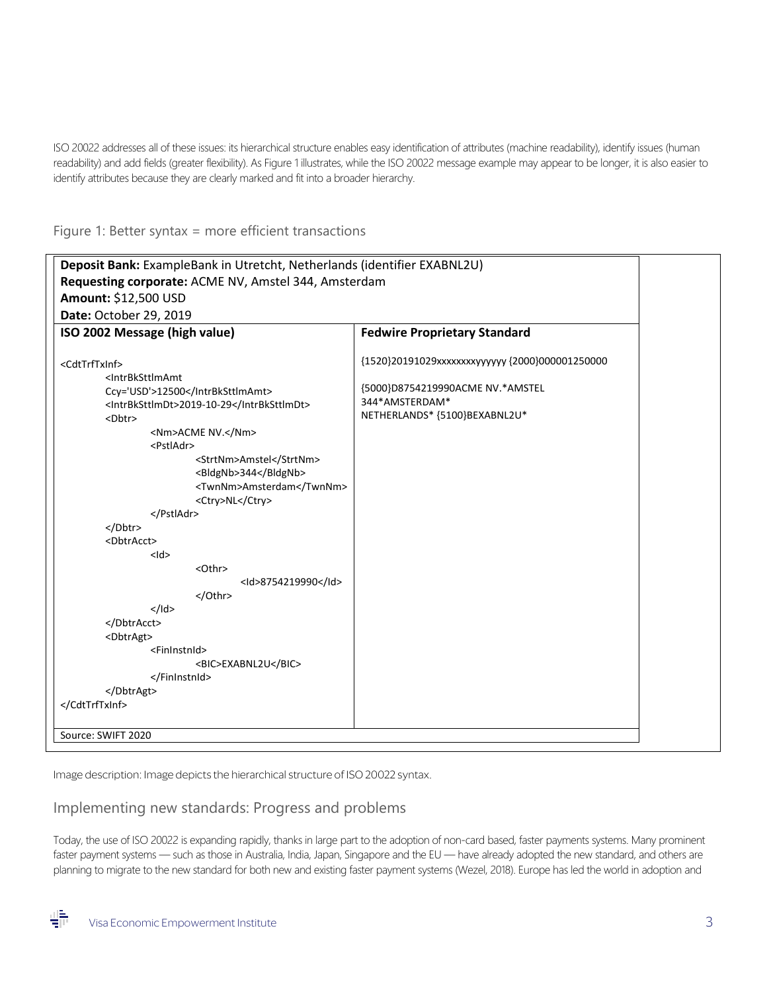ISO 20022 addresses all of these issues: its hierarchical structure enables easy identification of attributes (machine readability), identify issues (human readability) and add fields (greater flexibility). As Figure 1 illustrates, while the ISO 20022 message example may appear to be longer, it is also easier to identify attributes because they are clearly marked and fit into a broader hierarchy.

Figure 1: Better syntax = more efficient transactions

| Deposit Bank: ExampleBank in Utretcht, Netherlands (identifier EXABNL2U) |                                                |
|--------------------------------------------------------------------------|------------------------------------------------|
| Requesting corporate: ACME NV, Amstel 344, Amsterdam                     |                                                |
| Amount: \$12,500 USD                                                     |                                                |
| Date: October 29, 2019                                                   |                                                |
| ISO 2002 Message (high value)                                            | <b>Fedwire Proprietary Standard</b>            |
|                                                                          |                                                |
| <cdttrftxinf></cdttrftxinf>                                              | {1520}20191029xxxxxxxyyyyyy {2000}000001250000 |
| <intrbksttlmamt< td=""><td></td></intrbksttlmamt<>                       |                                                |
| Ccy='USD'>12500                                                          | {5000}D8754219990ACME NV.*AMSTEL               |
| <intrbksttlmdt>2019-10-29</intrbksttlmdt>                                | 344*AMSTERDAM*                                 |
| <dbtr></dbtr>                                                            | NETHERLANDS* {5100}BEXABNL2U*                  |
| <nm>ACME NV.</nm>                                                        |                                                |
| <pstladr></pstladr>                                                      |                                                |
| <strtnm>Amstel</strtnm>                                                  |                                                |
| <bldgnb>344</bldgnb><br><twnnm>Amsterdam</twnnm>                         |                                                |
| <ctry>NL</ctry>                                                          |                                                |
|                                                                          |                                                |
|                                                                          |                                                |
| <dbtracct></dbtracct>                                                    |                                                |
| $<$ Id>                                                                  |                                                |
| <othr></othr>                                                            |                                                |
| <ld>8754219990</ld>                                                      |                                                |
|                                                                          |                                                |
| $<$ /Id>                                                                 |                                                |
|                                                                          |                                                |
| <dbtragt></dbtragt>                                                      |                                                |
| <fininstnid></fininstnid>                                                |                                                |
| <bic>EXABNL2U</bic>                                                      |                                                |
|                                                                          |                                                |
| <br>                                                                     |                                                |
|                                                                          |                                                |
|                                                                          |                                                |
| Source: SWIFT 2020                                                       |                                                |

Image description: Image depicts the hierarchical structure of ISO 20022 syntax.

#### Implementing new standards: Progress and problems

Today, the use of ISO 20022 is expanding rapidly, thanks in large part to the adoption of non-card based, faster payments systems. Many prominent faster payment systems — such as those in Australia, India, Japan, Singapore and the EU — have already adopted the new standard, and others are planning to migrate to the new standard for both new and existing faster payment systems (Wezel, 2018). Europe has led the world in adoption and

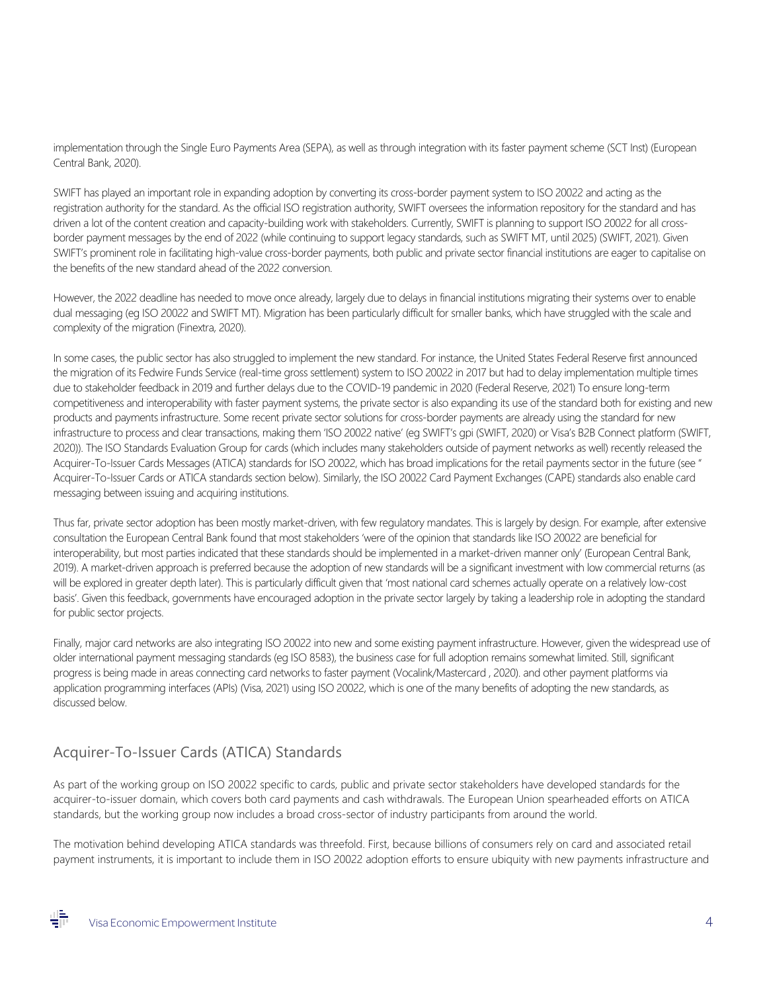implementation through the Single Euro Payments Area (SEPA), as well as through integration with its faster payment scheme (SCT Inst) (European Central Bank, 2020).

SWIFT has played an important role in expanding adoption by converting its cross-border payment system to ISO 20022 and acting as the registration authority for the standard. As the official ISO registration authority, SWIFT oversees the information repository for the standard and has driven a lot of the content creation and capacity-building work with stakeholders. Currently, SWIFT is planning to support ISO 20022 for all crossborder payment messages by the end of 2022 (while continuing to support legacy standards, such as SWIFT MT, until 2025) (SWIFT, 2021). Given SWIFT's prominent role in facilitating high-value cross-border payments, both public and private sector financial institutions are eager to capitalise on the benefits of the new standard ahead of the 2022 conversion.

However, the 2022 deadline has needed to move once already, largely due to delays in financial institutions migrating their systems over to enable dual messaging (eg ISO 20022 and SWIFT MT). Migration has been particularly difficult for smaller banks, which have struggled with the scale and complexity of the migration (Finextra, 2020).

In some cases, the public sector has also struggled to implement the new standard. For instance, the United States Federal Reserve first announced the migration of its Fedwire Funds Service (real-time gross settlement) system to ISO 20022 in 2017 but had to delay implementation multiple times due to stakeholder feedback in 2019 and further delays due to the COVID-19 pandemic in 2020 (Federal Reserve, 2021) To ensure long-term competitiveness and interoperability with faster payment systems, the private sector is also expanding its use of the standard both for existing and new products and payments infrastructure. Some recent private sector solutions for cross-border payments are already using the standard for new infrastructure to process and clear transactions, making them 'ISO 20022 native' (eg SWIFT's gpi (SWIFT, 2020) or Visa's B2B Connect platform (SWIFT, 2020)). The ISO Standards Evaluation Group for cards (which includes many stakeholders outside of payment networks as well) recently released the Acquirer-To-Issuer Cards Messages (ATICA) standards for ISO 20022, which has broad implications for the retail payments sector in the future (see " Acquirer-To-Issuer Cards or ATICA standards section below). Similarly, the ISO 20022 Card Payment Exchanges (CAPE) standards also enable card messaging between issuing and acquiring institutions.

Thus far, private sector adoption has been mostly market-driven, with few regulatory mandates. This is largely by design. For example, after extensive consultation the European Central Bank found that most stakeholders 'were of the opinion that standards like ISO 20022 are beneficial for interoperability, but most parties indicated that these standards should be implemented in a market-driven manner only' (European Central Bank, 2019). A market-driven approach is preferred because the adoption of new standards will be a significant investment with low commercial returns (as will be explored in greater depth later). This is particularly difficult given that 'most national card schemes actually operate on a relatively low-cost basis'. Given this feedback, governments have encouraged adoption in the private sector largely by taking a leadership role in adopting the standard for public sector projects.

Finally, major card networks are also integrating ISO 20022 into new and some existing payment infrastructure. However, given the widespread use of older international payment messaging standards (eg ISO 8583), the business case for full adoption remains somewhat limited. Still, significant progress is being made in areas connecting card networks to faster payment (Vocalink/Mastercard , 2020). and other payment platforms via application programming interfaces (APIs) (Visa, 2021) using ISO 20022, which is one of the many benefits of adopting the new standards, as discussed below.

## Acquirer-To-Issuer Cards (ATICA) Standards

As part of the working group on ISO 20022 specific to cards, public and private sector stakeholders have developed standards for the acquirer-to-issuer domain, which covers both card payments and cash withdrawals. The European Union spearheaded efforts on ATICA standards, but the working group now includes a broad cross-sector of industry participants from around the world.

The motivation behind developing ATICA standards was threefold. First, because billions of consumers rely on card and associated retail payment instruments, it is important to include them in ISO 20022 adoption efforts to ensure ubiquity with new payments infrastructure and

ᆙ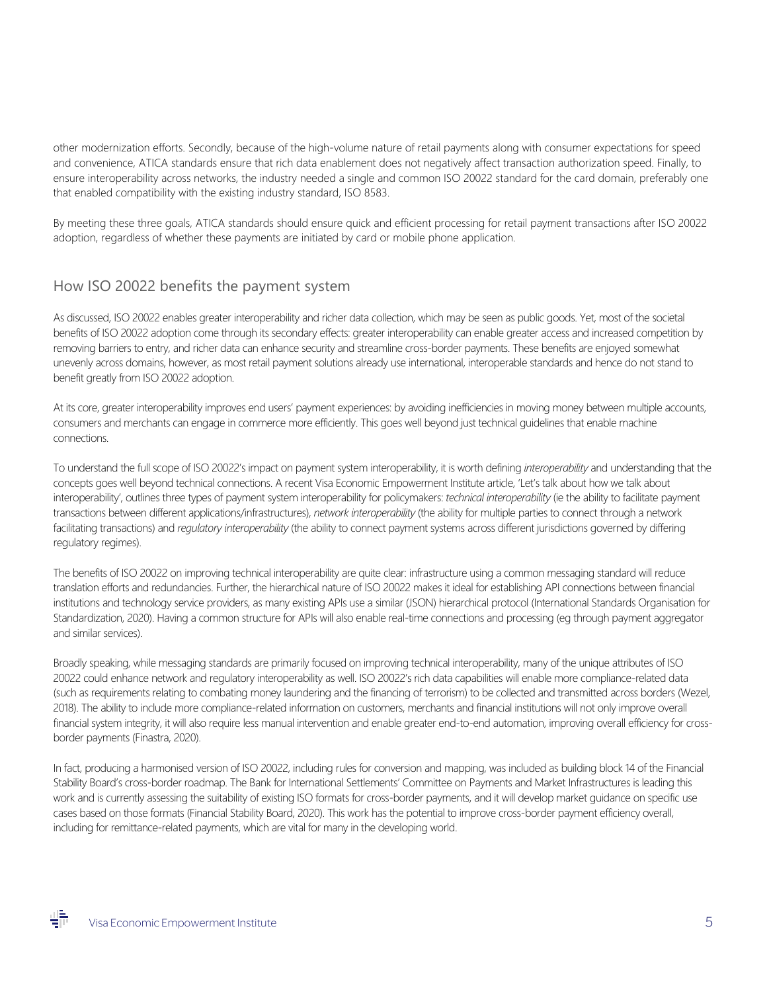other modernization efforts. Secondly, because of the high-volume nature of retail payments along with consumer expectations for speed and convenience, ATICA standards ensure that rich data enablement does not negatively affect transaction authorization speed. Finally, to ensure interoperability across networks, the industry needed a single and common ISO 20022 standard for the card domain, preferably one that enabled compatibility with the existing industry standard, ISO 8583.

By meeting these three goals, ATICA standards should ensure quick and efficient processing for retail payment transactions after ISO 20022 adoption, regardless of whether these payments are initiated by card or mobile phone application.

#### How ISO 20022 benefits the payment system

As discussed, ISO 20022 enables greater interoperability and richer data collection, which may be seen as public goods. Yet, most of the societal benefits of ISO 20022 adoption come through its secondary effects: greater interoperability can enable greater access and increased competition by removing barriers to entry, and richer data can enhance security and streamline cross-border payments. These benefits are enjoyed somewhat unevenly across domains, however, as most retail payment solutions already use international, interoperable standards and hence do not stand to benefit greatly from ISO 20022 adoption.

At its core, greater interoperability improves end users' payment experiences: by avoiding inefficiencies in moving money between multiple accounts, consumers and merchants can engage in commerce more efficiently. This goes well beyond just technical guidelines that enable machine connections.

To understand the full scope of ISO 20022's impact on payment system interoperability, it is worth defining *interoperability* and understanding that the concepts goes well beyond technical connections. A recent Visa Economic Empowerment Institute article, 'Let's talk about how we talk about interoperability', outlines three types of payment system interoperability for policymakers: *technical interoperability* (ie the ability to facilitate payment transactions between different applications/infrastructures), *network interoperability* (the ability for multiple parties to connect through a network facilitating transactions) and *regulatory interoperability* (the ability to connect payment systems across different jurisdictions governed by differing regulatory regimes).

The benefits of ISO 20022 on improving technical interoperability are quite clear: infrastructure using a common messaging standard will reduce translation efforts and redundancies. Further, the hierarchical nature of ISO 20022 makes it ideal for establishing API connections between financial institutions and technology service providers, as many existing APIs use a similar (JSON) hierarchical protocol (International Standards Organisation for Standardization, 2020). Having a common structure for APIs will also enable real-time connections and processing (eg through payment aggregator and similar services).

Broadly speaking, while messaging standards are primarily focused on improving technical interoperability, many of the unique attributes of ISO 20022 could enhance network and regulatory interoperability as well. ISO 20022's rich data capabilities will enable more compliance-related data (such as requirements relating to combating money laundering and the financing of terrorism) to be collected and transmitted across borders (Wezel, 2018). The ability to include more compliance-related information on customers, merchants and financial institutions will not only improve overall financial system integrity, it will also require less manual intervention and enable greater end-to-end automation, improving overall efficiency for crossborder payments (Finastra, 2020).

In fact, producing a harmonised version of ISO 20022, including rules for conversion and mapping, was included as building block 14 of the Financial Stability Board's cross-border roadmap. The Bank for International Settlements' Committee on Payments and Market Infrastructures is leading this work and is currently assessing the suitability of existing ISO formats for cross-border payments, and it will develop market guidance on specific use cases based on those formats (Financial Stability Board, 2020). This work has the potential to improve cross-border payment efficiency overall, including for remittance-related payments, which are vital for many in the developing world.

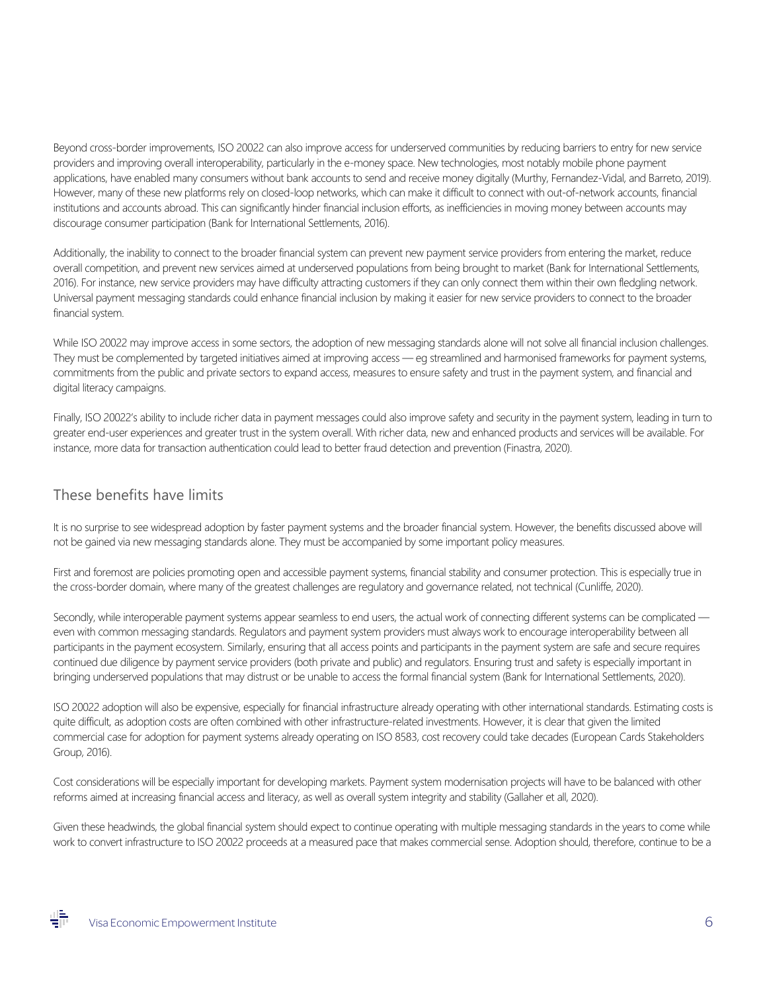Beyond cross-border improvements, ISO 20022 can also improve access for underserved communities by reducing barriers to entry for new service providers and improving overall interoperability, particularly in the e-money space. New technologies, most notably mobile phone payment applications, have enabled many consumers without bank accounts to send and receive money digitally (Murthy, Fernandez-Vidal, and Barreto, 2019). However, many of these new platforms rely on closed-loop networks, which can make it difficult to connect with out-of-network accounts, financial institutions and accounts abroad. This can significantly hinder financial inclusion efforts, as inefficiencies in moving money between accounts may discourage consumer participation (Bank for International Settlements, 2016).

Additionally, the inability to connect to the broader financial system can prevent new payment service providers from entering the market, reduce overall competition, and prevent new services aimed at underserved populations from being brought to market (Bank for International Settlements, 2016). For instance, new service providers may have difficulty attracting customers if they can only connect them within their own fledgling network. Universal payment messaging standards could enhance financial inclusion by making it easier for new service providers to connect to the broader financial system.

While ISO 20022 may improve access in some sectors, the adoption of new messaging standards alone will not solve all financial inclusion challenges. They must be complemented by targeted initiatives aimed at improving access — eg streamlined and harmonised frameworks for payment systems, commitments from the public and private sectors to expand access, measures to ensure safety and trust in the payment system, and financial and digital literacy campaigns.

Finally, ISO 20022's ability to include richer data in payment messages could also improve safety and security in the payment system, leading in turn to greater end-user experiences and greater trust in the system overall. With richer data, new and enhanced products and services will be available. For instance, more data for transaction authentication could lead to better fraud detection and prevention (Finastra, 2020).

### These benefits have limits

It is no surprise to see widespread adoption by faster payment systems and the broader financial system. However, the benefits discussed above will not be gained via new messaging standards alone. They must be accompanied by some important policy measures.

First and foremost are policies promoting open and accessible payment systems, financial stability and consumer protection. This is especially true in the cross-border domain, where many of the greatest challenges are regulatory and governance related, not technical (Cunliffe, 2020).

Secondly, while interoperable payment systems appear seamless to end users, the actual work of connecting different systems can be complicated even with common messaging standards. Regulators and payment system providers must always work to encourage interoperability between all participants in the payment ecosystem. Similarly, ensuring that all access points and participants in the payment system are safe and secure requires continued due diligence by payment service providers (both private and public) and regulators. Ensuring trust and safety is especially important in bringing underserved populations that may distrust or be unable to access the formal financial system (Bank for International Settlements, 2020).

ISO 20022 adoption will also be expensive, especially for financial infrastructure already operating with other international standards. Estimating costs is quite difficult, as adoption costs are often combined with other infrastructure-related investments. However, it is clear that given the limited commercial case for adoption for payment systems already operating on ISO 8583, cost recovery could take decades (European Cards Stakeholders Group, 2016).

Cost considerations will be especially important for developing markets. Payment system modernisation projects will have to be balanced with other reforms aimed at increasing financial access and literacy, as well as overall system integrity and stability (Gallaher et all, 2020).

Given these headwinds, the global financial system should expect to continue operating with multiple messaging standards in the years to come while work to convert infrastructure to ISO 20022 proceeds at a measured pace that makes commercial sense. Adoption should, therefore, continue to be a

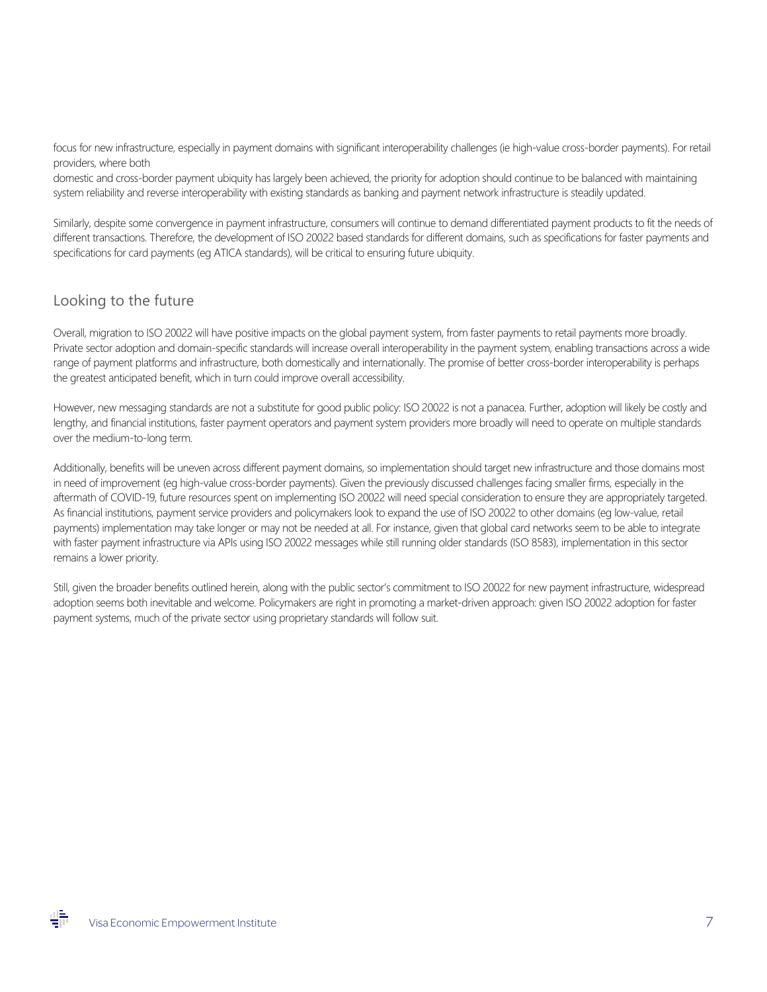focus for new infrastructure, especially in payment domains with significant interoperability challenges (ie high-value cross-border payments). For retail providers, where both

domestic and cross-border payment ubiquity has largely been achieved, the priority for adoption should continue to be balanced with maintaining system reliability and reverse interoperability with existing standards as banking and payment network infrastructure is steadily updated.

Similarly, despite some convergence in payment infrastructure, consumers will continue to demand differentiated payment products to fit the needs of different transactions. Therefore, the development of ISO 20022 based standards for different domains, such as specifications for faster payments and specifications for card payments (eg ATICA standards), will be critical to ensuring future ubiquity.

#### Looking to the future

Overall, migration to ISO 20022 will have positive impacts on the global payment system, from faster payments to retail payments more broadly. Private sector adoption and domain-specific standards will increase overall interoperability in the payment system, enabling transactions across a wide range of payment platforms and infrastructure, both domestically and internationally. The promise of better cross-border interoperability is perhaps the greatest anticipated benefit, which in turn could improve overall accessibility.

However, new messaging standards are not a substitute for good public policy: ISO 20022 is not a panacea. Further, adoption will likely be costly and lengthy, and financial institutions, faster payment operators and payment system providers more broadly will need to operate on multiple standards over the medium-to-long term.

Additionally, benefits will be uneven across different payment domains, so implementation should target new infrastructure and those domains most in need of improvement (eg high-value cross-border payments). Given the previously discussed challenges facing smaller firms, especially in the aftermath of COVID-19, future resources spent on implementing ISO 20022 will need special consideration to ensure they are appropriately targeted. As financial institutions, payment service providers and policymakers look to expand the use of ISO 20022 to other domains (eg low-value, retail payments) implementation may take longer or may not be needed at all. For instance, given that global card networks seem to be able to integrate with faster payment infrastructure via APIs using ISO 20022 messages while still running older standards (ISO 8583), implementation in this sector remains a lower priority.

Still, given the broader benefits outlined herein, along with the public sector's commitment to ISO 20022 for new payment infrastructure, widespread adoption seems both inevitable and welcome. Policymakers are right in promoting a market-driven approach: given ISO 20022 adoption for faster payment systems, much of the private sector using proprietary standards will follow suit.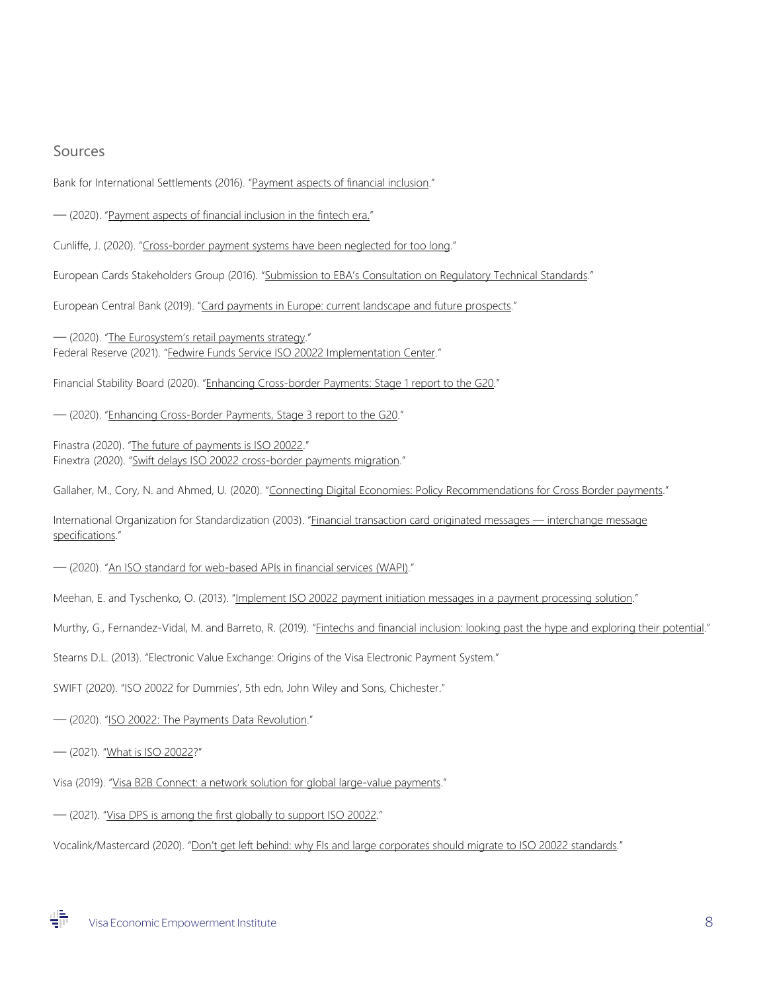#### Sources

Bank for International Settlements (2016). ["Payment aspects of financial inclusion."](https://www.bis.org/cpmi/publ/d144.pdf)

— (2020). ["Payment aspects of financial inclusion in the fintech era."](https://www.bis.org/cpmi/publ/d191.pdf)

Cunliffe, J. (2020). ["Cross-border payment systems have been neglected for too long."](https://www.bis.org/cpmi/speeches/sp200730.htm)

European Cards Stakeholders Group (2016). ["Submission to EBA's Consultation on Regulatory Technical Standards.](http://cardscsg.eu/public/ECSG067-16%20v1.0%20EBA%20RTS%20SCA%20Consultation%20-%20ECSG%20submission%20text.pdf)"

European Central Bank (2019). ["Card payments in Europe: current landscape and future prospects."](https://www.ecb.europa.eu/pub/pubbydate/2019/html/ecb.cardpaymentsineu_currentlandscapeandfutureprospects201904%7E30d4de2fc4.en.html)

— (2020). ["The Eurosystem's retail payments strategy."](https://www.ecb.europa.eu/pub/pdf/other/ecb.eurosystemretailpaymentsstrategy%7E5a74eb9ac1.en.pdf) Federal Reserve (2021). ["Fedwire Funds Service ISO 20022 Implementation Center."](https://www.frbservices.org/resources/financial-services/wires/iso-20022-implementation-center.html)

Financial Stability Board (2020). ["Enhancing Cross-border Payments: Stage 1 report to the G20.](https://www.fsb.org/wp-content/uploads/P090420-1.pdf)"

— (2020). ["Enhancing Cross-Border Payments, Stage 3 report to the G20."](https://www.fsb.org/2020/10/enhancing-cross-border-payments-stage-3-roadmap/)

Finastra (2020). ["The future of payments is ISO 20022."](https://www.swift.com/swift-resource/249346/download) Finextra (2020). ["Swift delays ISO 20022 cross-border payments migration."](https://www.finextra.com/newsarticle/35463/swift-delays-iso-20022-cross-border-payments-migration)

Gallaher, M., Cory, N. and Ahmed, U. (2020). ["Connecting Digital Economies: Policy Recommendations for Cross](http://www3.weforum.org/docs/WEF_Connecting_Digital_Economies_2020.pdf) Border payments."

International Organization for Standardization (2003). ["Financial transaction card originated messages — interchange message](https://www.iso.org/obp/ui/#iso:std:iso:8583:-1:ed-1:v1:en)  [specifications.](https://www.iso.org/obp/ui/#iso:std:iso:8583:-1:ed-1:v1:en)"

— (2020). ["An ISO standard for web-based APIs in financial services \(WAPI\)."](https://www.iso20022.org/about-iso-20022/apis-and-iso-20022)

Meehan, E. and Tyschenko, O. (2013). ["Implement ISO 20022 payment initiation messages in a payment processing solution."](https://developer.ibm.com/articles/dm-1307isopayment/)

Murthy, G., Fernandez-Vidal, M. and Barreto, R. (2019). ["Fintechs and financial inclusion: looking past the hype and exploring their potential.](https://www.cgap.org/sites/default/files/publications/2019_05_Focus_Note_Fintech_and_Financial_Inclusion_1_0.pdf)"

Stearns D.L. (2013). "Electronic Value Exchange: Origins of the Visa Electronic Payment System."

SWIFT (2020). "ISO 20022 for Dummies', 5th edn, John Wiley and Sons, Chichester."

— (2020). ["ISO 20022: The Payments Data Revolution.](https://www.swift.com/news-events/news/iso-20022-payments-data-revolution)"

— (2021). ["What is ISO 20022?](https://www.swift.com/standards/iso-20022)"

ᆙ

Visa (2019). ["Visa B2B Connect: a network solution for global large-value payments."](https://usa.review.visa.com/dam/VCOM/global/partner-with-us/documents/visa-b2b-connect-white-paper.pdf)

— (2021). ["Visa DPS is among the first globally to support ISO 20022."](https://usa.visa.com/partner-with-us/info-for-partners/visa-dps/iso-20022.html)

Vocalink/Mastercard (2020). ["Don't get left behind: why FIs and large corporates should migrate to ISO 20022 standards."](https://www.vocalink.com/news-insights/research-reports-white-papers/iso-20022-message-standards/)